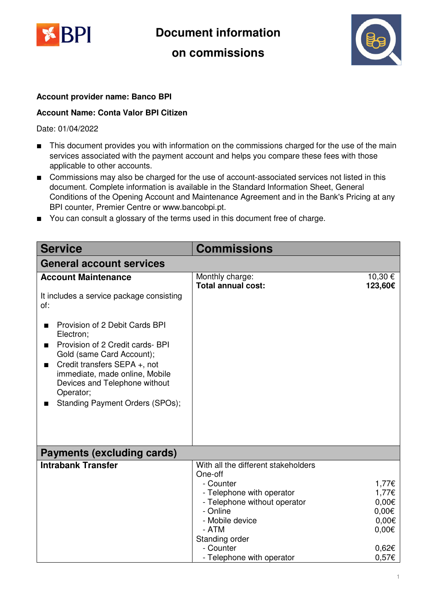

**Document information** 

### **on commissions**



### **Account provider name: Banco BPI**

#### **Account Name: Conta Valor BPI Citizen**

Date: 01/04/2022

- This document provides you with information on the commissions charged for the use of the main services associated with the payment account and helps you compare these fees with those applicable to other accounts.
- Commissions may also be charged for the use of account-associated services not listed in this document. Complete information is available in the Standard Information Sheet, General Conditions of the Opening Account and Maintenance Agreement and in the Bank's Pricing at any BPI counter, Premier Centre or www.bancobpi.pt.
- You can consult a glossary of the terms used in this document free of charge.

| <b>Service</b>                                                                                                                                                                                                                                                       | Commissions                                                                                                                                                                        |                                                                        |  |
|----------------------------------------------------------------------------------------------------------------------------------------------------------------------------------------------------------------------------------------------------------------------|------------------------------------------------------------------------------------------------------------------------------------------------------------------------------------|------------------------------------------------------------------------|--|
| <b>General account services</b>                                                                                                                                                                                                                                      |                                                                                                                                                                                    |                                                                        |  |
| <b>Account Maintenance</b>                                                                                                                                                                                                                                           | Monthly charge:<br><b>Total annual cost:</b>                                                                                                                                       | 10,30 €<br>123,60€                                                     |  |
| It includes a service package consisting<br>of:                                                                                                                                                                                                                      |                                                                                                                                                                                    |                                                                        |  |
| Provision of 2 Debit Cards BPI<br>Electron;<br>Provision of 2 Credit cards- BPI<br>Gold (same Card Account);<br>Credit transfers SEPA +, not<br>■<br>immediate, made online, Mobile<br>Devices and Telephone without<br>Operator;<br>Standing Payment Orders (SPOs); |                                                                                                                                                                                    |                                                                        |  |
| <b>Payments (excluding cards)</b>                                                                                                                                                                                                                                    |                                                                                                                                                                                    |                                                                        |  |
| <b>Intrabank Transfer</b>                                                                                                                                                                                                                                            | With all the different stakeholders<br>One-off<br>- Counter<br>- Telephone with operator<br>- Telephone without operator<br>- Online<br>- Mobile device<br>- ATM<br>Standing order | 1,77€<br>1,77€<br>$0,00 \in$<br>$0,00 \in$<br>$0,00 \in$<br>$0,00 \in$ |  |
|                                                                                                                                                                                                                                                                      | - Counter<br>- Telephone with operator                                                                                                                                             | $0,62 \in$<br>0,57€                                                    |  |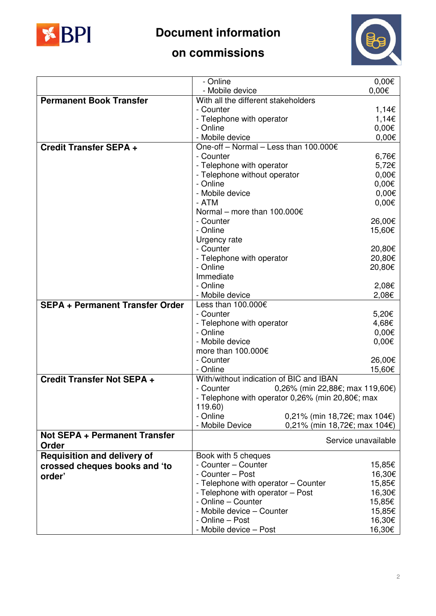

# **Document information**



## **on commissions**

|                                        | - Online                                                       | $0,00 \in$          |
|----------------------------------------|----------------------------------------------------------------|---------------------|
|                                        | - Mobile device                                                | $0,00 \in$          |
| <b>Permanent Book Transfer</b>         | With all the different stakeholders                            |                     |
|                                        | - Counter                                                      | 1,14€               |
|                                        | - Telephone with operator                                      | 1,14€               |
|                                        | - Online                                                       | $0,00 \in$          |
|                                        | - Mobile device                                                | $0,00 \in$          |
| <b>Credit Transfer SEPA +</b>          | One-off - Normal - Less than 100.000€                          |                     |
|                                        | - Counter                                                      | 6,76€               |
|                                        | - Telephone with operator                                      | 5,72€               |
|                                        | - Telephone without operator                                   | $0,00 \in$          |
|                                        | - Online                                                       | $0,00 \in$          |
|                                        | - Mobile device                                                | $0,00 \in$          |
|                                        | - ATM                                                          | $0,00 \in$          |
|                                        | Normal – more than $100.000 \in$                               |                     |
|                                        | - Counter                                                      | 26,00€              |
|                                        | - Online                                                       | 15,60€              |
|                                        | Urgency rate                                                   |                     |
|                                        | - Counter                                                      | 20,80€              |
|                                        | - Telephone with operator                                      | 20,80€              |
|                                        | - Online                                                       | 20,80€              |
|                                        | Immediate                                                      |                     |
|                                        | - Online                                                       | 2,08€               |
|                                        | - Mobile device                                                | 2,08€               |
| <b>SEPA + Permanent Transfer Order</b> | Less than 100.000€                                             |                     |
|                                        | - Counter                                                      | 5,20€               |
|                                        | - Telephone with operator                                      | 4,68€               |
|                                        | - Online                                                       | $0,00 \in$          |
|                                        | - Mobile device                                                | $0,00 \in$          |
|                                        | more than 100.000€                                             |                     |
|                                        | - Counter                                                      | 26,00€              |
|                                        | - Online                                                       | 15,60€              |
| Credit Transfer Not SEPA +             | With/without indication of BIC and IBAN                        |                     |
|                                        | - Counter<br>$0,26\%$ (min 22,88€; max 119,60€)                |                     |
|                                        | - Telephone with operator $0,26\%$ (min 20,80 $\epsilon$ ; max |                     |
|                                        | 119.60)                                                        |                     |
|                                        | - Online<br>0,21% (min 18,72€; max 104€)                       |                     |
|                                        | - Mobile Device<br>0,21% (min 18,72€; max 104€)                |                     |
| <b>Not SEPA + Permanent Transfer</b>   |                                                                | Service unavailable |
| Order                                  |                                                                |                     |
| <b>Requisition and delivery of</b>     | Book with 5 cheques                                            |                     |
| crossed cheques books and 'to          | - Counter - Counter                                            | 15,85€              |
| order'                                 | - Counter - Post                                               | 16,30€              |
|                                        | - Telephone with operator - Counter                            | 15,85€              |
|                                        | - Telephone with operator - Post                               | 16,30€              |
|                                        | - Online - Counter                                             | 15,85€              |
|                                        | - Mobile device - Counter                                      | 15,85€              |
|                                        | - Online – Post                                                | 16,30€              |
|                                        | - Mobile device - Post                                         | 16,30€              |